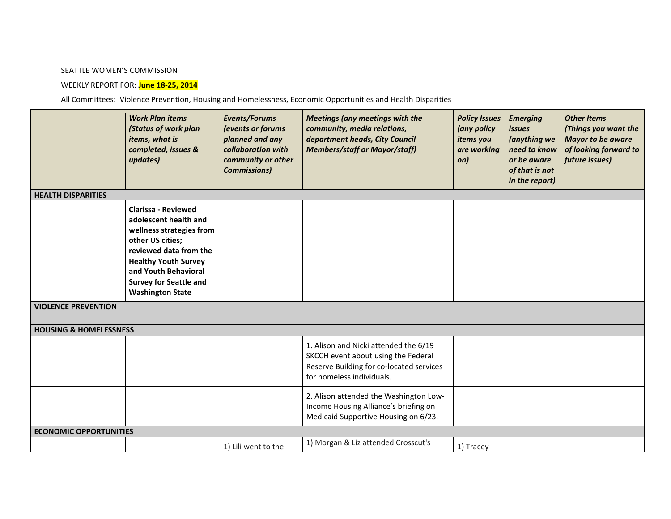## SEATTLE WOMEN'S COMMISSION

## WEEKLY REPORT FOR: **June 18-25, 2014**

All Committees: Violence Prevention, Housing and Homelessness, Economic Opportunities and Health Disparities

|                                   | <b>Work Plan items</b><br>(Status of work plan<br>items, what is<br>completed, issues &<br>updates)                                                                                                                                              | Events/Forums<br>(events or forums<br>planned and any<br>collaboration with<br>community or other<br><b>Commissions)</b> | <b>Meetings (any meetings with the</b><br>community, media relations,<br>department heads, City Council<br><b>Members/staff or Mayor/staff)</b>       | <b>Policy Issues</b><br>(any policy<br>items you<br>are working<br>on) | <b>Emerging</b><br><i>issues</i><br>(anything we<br>need to know<br>or be aware<br>of that is not<br>in the report) | <b>Other Items</b><br>(Things you want the<br><b>Mayor to be aware</b><br>of looking forward to<br>future issues) |  |  |  |  |
|-----------------------------------|--------------------------------------------------------------------------------------------------------------------------------------------------------------------------------------------------------------------------------------------------|--------------------------------------------------------------------------------------------------------------------------|-------------------------------------------------------------------------------------------------------------------------------------------------------|------------------------------------------------------------------------|---------------------------------------------------------------------------------------------------------------------|-------------------------------------------------------------------------------------------------------------------|--|--|--|--|
| <b>HEALTH DISPARITIES</b>         |                                                                                                                                                                                                                                                  |                                                                                                                          |                                                                                                                                                       |                                                                        |                                                                                                                     |                                                                                                                   |  |  |  |  |
|                                   | <b>Clarissa - Reviewed</b><br>adolescent health and<br>wellness strategies from<br>other US cities;<br>reviewed data from the<br><b>Healthy Youth Survey</b><br>and Youth Behavioral<br><b>Survey for Seattle and</b><br><b>Washington State</b> |                                                                                                                          |                                                                                                                                                       |                                                                        |                                                                                                                     |                                                                                                                   |  |  |  |  |
| <b>VIOLENCE PREVENTION</b>        |                                                                                                                                                                                                                                                  |                                                                                                                          |                                                                                                                                                       |                                                                        |                                                                                                                     |                                                                                                                   |  |  |  |  |
|                                   |                                                                                                                                                                                                                                                  |                                                                                                                          |                                                                                                                                                       |                                                                        |                                                                                                                     |                                                                                                                   |  |  |  |  |
| <b>HOUSING &amp; HOMELESSNESS</b> |                                                                                                                                                                                                                                                  |                                                                                                                          |                                                                                                                                                       |                                                                        |                                                                                                                     |                                                                                                                   |  |  |  |  |
|                                   |                                                                                                                                                                                                                                                  |                                                                                                                          | 1. Alison and Nicki attended the 6/19<br>SKCCH event about using the Federal<br>Reserve Building for co-located services<br>for homeless individuals. |                                                                        |                                                                                                                     |                                                                                                                   |  |  |  |  |
|                                   |                                                                                                                                                                                                                                                  |                                                                                                                          | 2. Alison attended the Washington Low-<br>Income Housing Alliance's briefing on<br>Medicaid Supportive Housing on 6/23.                               |                                                                        |                                                                                                                     |                                                                                                                   |  |  |  |  |
| <b>ECONOMIC OPPORTUNITIES</b>     |                                                                                                                                                                                                                                                  |                                                                                                                          |                                                                                                                                                       |                                                                        |                                                                                                                     |                                                                                                                   |  |  |  |  |
|                                   |                                                                                                                                                                                                                                                  | 1) Lili went to the                                                                                                      | 1) Morgan & Liz attended Crosscut's                                                                                                                   | 1) Tracey                                                              |                                                                                                                     |                                                                                                                   |  |  |  |  |